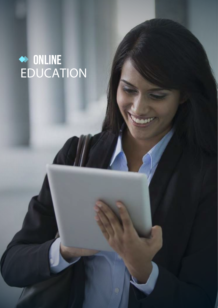# **online** EDUCATION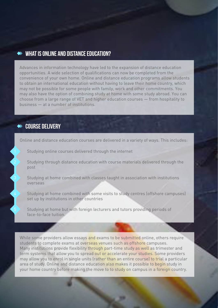## **What is online and distance education?**

Advances in information technology have led to the expansion of distance education opportunities. A wide selection of qualifications can now be completed from the convenience of your own home. Online and distance education programs allow students to obtain an international education without having to leave their home country, which may not be possible for some people with family, work and other commitments. You may also have the option of combining study at home with some study abroad. You can choose from a large range of VET and higher education courses — from hospitality to business — at a number of institutions.

# **Course delivery**

Online and distance education courses are delivered in a variety of ways. This includes:

Studying online courses delivered through the internet

2 Studying through distance education with course materials delivered through the post

Studying at home combined with classes taught in association with institutions overseas

Studying at home combined with some visits to study centres (offshore campuses) set up by institutions in other countries

5 Studying at home but with foreign lecturers and tutors providing periods of face-to-face tuition.

While some providers allow essays and exams to be submitted online, others require students to complete exams at overseas venues such as offshore campuses. Many institutions provide flexibility through part-time study as well as trimester and term systems that allow you to spread out or accelerate your studies. Some providers may allow you to enrol in single units (rather than an entire course) to trial a particular area of study. Online and distance education also makes it possible to begin study in your home country before making the move to to study on campus in a foreign country.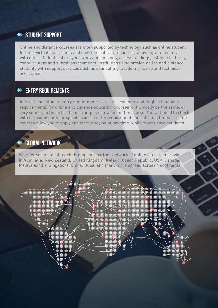# $\leftrightarrow$  STUDENT SUPPORT

Online and distance courses are often supported by technology such as online student forums, virtual classrooms and electronic library resources, allowing you to interact with other students, share your work and opinions, access readings, listen to lectures, consult tutors and submit assessments. Institutions also provide online and distance students with support services such as counselling, academic advice and technical assistance.

# **Entry requirements**

International student entry requirements (such as academic and English language requirements) for online and distance education courses will typically be the same, or very similar, to those for the on-campus equivalent of the course. You will need to check with our counselors for specific course entry requirements and starting times — some courses allow you to apply and start studying at any time, while others have set dates.

# **GLOBAL NETWORK**

We offer you a global reach through our partner network of online education providers in Australia, New Zealand, United Kingdom, Ireland, Czech Republic, USA, Canada, Malaysia,India, Singapore, China, Dubai and many more spread across 4 continents.